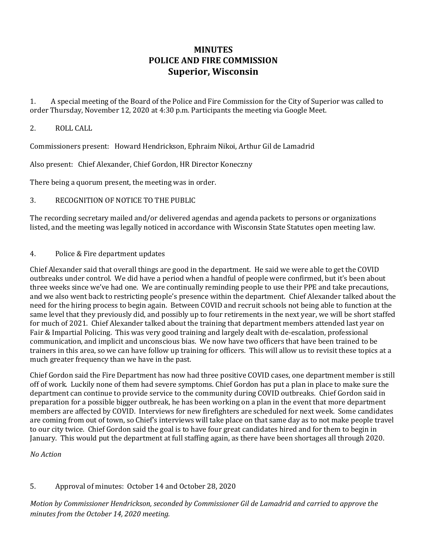# **MINUTES POLICE AND FIRE COMMISSION Superior, Wisconsin**

1. A special meeting of the Board of the Police and Fire Commission for the City of Superior was called to order Thursday, November 12, 2020 at 4:30 p.m. Participants the meeting via Google Meet.

#### 2. ROLL CALL

Commissioners present: Howard Hendrickson, Ephraim Nikoi, Arthur Gil de Lamadrid

Also present: Chief Alexander, Chief Gordon, HR Director Koneczny

There being a quorum present, the meeting was in order.

### 3. RECOGNITION OF NOTICE TO THE PUBLIC

The recording secretary mailed and/or delivered agendas and agenda packets to persons or organizations listed, and the meeting was legally noticed in accordance with Wisconsin State Statutes open meeting law.

#### 4. Police & Fire department updates

Chief Alexander said that overall things are good in the department. He said we were able to get the COVID outbreaks under control. We did have a period when a handful of people were confirmed, but it's been about three weeks since we've had one. We are continually reminding people to use their PPE and take precautions, and we also went back to restricting people's presence within the department. Chief Alexander talked about the need for the hiring process to begin again. Between COVID and recruit schools not being able to function at the same level that they previously did, and possibly up to four retirements in the next year, we will be short staffed for much of 2021. Chief Alexander talked about the training that department members attended last year on Fair & Impartial Policing. This was very good training and largely dealt with de-escalation, professional communication, and implicit and unconscious bias. We now have two officers that have been trained to be trainers in this area, so we can have follow up training for officers. This will allow us to revisit these topics at a much greater frequency than we have in the past.

Chief Gordon said the Fire Department has now had three positive COVID cases, one department member is still off of work. Luckily none of them had severe symptoms. Chief Gordon has put a plan in place to make sure the department can continue to provide service to the community during COVID outbreaks. Chief Gordon said in preparation for a possible bigger outbreak, he has been working on a plan in the event that more department members are affected by COVID. Interviews for new firefighters are scheduled for next week. Some candidates are coming from out of town, so Chief's interviews will take place on that same day as to not make people travel to our city twice. Chief Gordon said the goal is to have four great candidates hired and for them to begin in January. This would put the department at full staffing again, as there have been shortages all through 2020.

*No Action*

## 5. Approval of minutes: October 14 and October 28, 2020

*Motion by Commissioner Hendrickson, seconded by Commissioner Gil de Lamadrid and carried to approve the minutes from the October 14, 2020 meeting.*